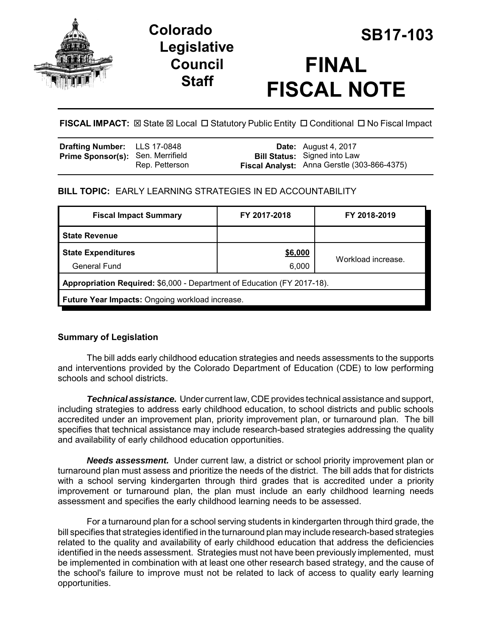

# **Legislative Council Staff**



**FISCAL IMPACT:**  $\boxtimes$  **State**  $\boxtimes$  **Local □ Statutory Public Entity □ Conditional □ No Fiscal Impact** 

| Drafting Number: LLS 17-0848             |                | <b>Date:</b> August 4, 2017                 |
|------------------------------------------|----------------|---------------------------------------------|
| <b>Prime Sponsor(s): Sen. Merrifield</b> |                | <b>Bill Status:</b> Signed into Law         |
|                                          | Rep. Petterson | Fiscal Analyst: Anna Gerstle (303-866-4375) |

# **BILL TOPIC:** EARLY LEARNING STRATEGIES IN ED ACCOUNTABILITY

| <b>Fiscal Impact Summary</b>                                            | FY 2017-2018 | FY 2018-2019       |  |  |
|-------------------------------------------------------------------------|--------------|--------------------|--|--|
| <b>State Revenue</b>                                                    |              |                    |  |  |
| <b>State Expenditures</b>                                               | \$6,000      |                    |  |  |
| <b>General Fund</b>                                                     | 6,000        | Workload increase. |  |  |
| Appropriation Required: \$6,000 - Department of Education (FY 2017-18). |              |                    |  |  |
| Future Year Impacts: Ongoing workload increase.                         |              |                    |  |  |

## **Summary of Legislation**

The bill adds early childhood education strategies and needs assessments to the supports and interventions provided by the Colorado Department of Education (CDE) to low performing schools and school districts.

*Technical assistance.* Under current law, CDE provides technical assistance and support, including strategies to address early childhood education, to school districts and public schools accredited under an improvement plan, priority improvement plan, or turnaround plan. The bill specifies that technical assistance may include research-based strategies addressing the quality and availability of early childhood education opportunities.

*Needs assessment.* Under current law, a district or school priority improvement plan or turnaround plan must assess and prioritize the needs of the district. The bill adds that for districts with a school serving kindergarten through third grades that is accredited under a priority improvement or turnaround plan, the plan must include an early childhood learning needs assessment and specifies the early childhood learning needs to be assessed.

For a turnaround plan for a school serving students in kindergarten through third grade, the bill specifies that strategies identified in the turnaround plan may include research-based strategies related to the quality and availability of early childhood education that address the deficiencies identified in the needs assessment. Strategies must not have been previously implemented, must be implemented in combination with at least one other research based strategy, and the cause of the school's failure to improve must not be related to lack of access to quality early learning opportunities.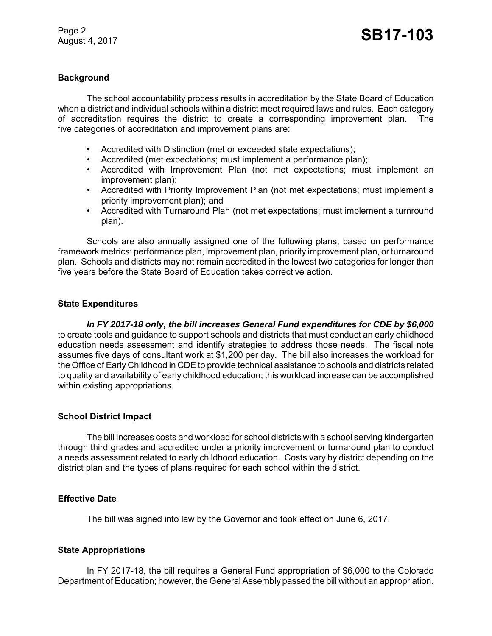### **Background**

The school accountability process results in accreditation by the State Board of Education when a district and individual schools within a district meet required laws and rules. Each category of accreditation requires the district to create a corresponding improvement plan. The five categories of accreditation and improvement plans are:

- Accredited with Distinction (met or exceeded state expectations);
- Accredited (met expectations; must implement a performance plan);
- Accredited with Improvement Plan (not met expectations; must implement an improvement plan);
- Accredited with Priority Improvement Plan (not met expectations; must implement a priority improvement plan); and
- Accredited with Turnaround Plan (not met expectations; must implement a turnround plan).

Schools are also annually assigned one of the following plans, based on performance framework metrics: performance plan, improvement plan, priority improvement plan, or turnaround plan. Schools and districts may not remain accredited in the lowest two categories for longer than five years before the State Board of Education takes corrective action.

#### **State Expenditures**

*In FY 2017-18 only, the bill increases General Fund expenditures for CDE by \$6,000* to create tools and guidance to support schools and districts that must conduct an early childhood education needs assessment and identify strategies to address those needs. The fiscal note assumes five days of consultant work at \$1,200 per day. The bill also increases the workload for the Office of Early Childhood in CDE to provide technical assistance to schools and districts related to quality and availability of early childhood education; this workload increase can be accomplished within existing appropriations.

#### **School District Impact**

The bill increases costs and workload for school districts with a school serving kindergarten through third grades and accredited under a priority improvement or turnaround plan to conduct a needs assessment related to early childhood education. Costs vary by district depending on the district plan and the types of plans required for each school within the district.

## **Effective Date**

The bill was signed into law by the Governor and took effect on June 6, 2017.

#### **State Appropriations**

In FY 2017-18, the bill requires a General Fund appropriation of \$6,000 to the Colorado Department of Education; however, the General Assembly passed the bill without an appropriation.